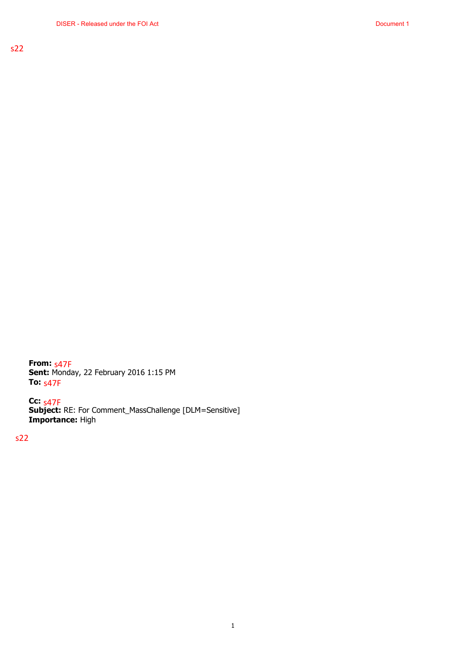**From:** s47F **Sent:** Monday, 22 February 2016 1:15 PM **To:** s47F

**Cc: Subject:** RE: For Comment\_MassChallenge [DLM=Sensitive] **Importance:** High s47F

s22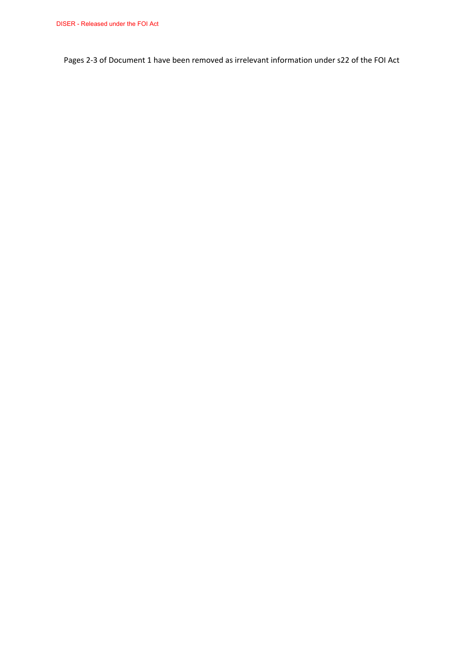Pages 2-3 of Document 1 have been removed as irrelevant information under s22 of the FOI Act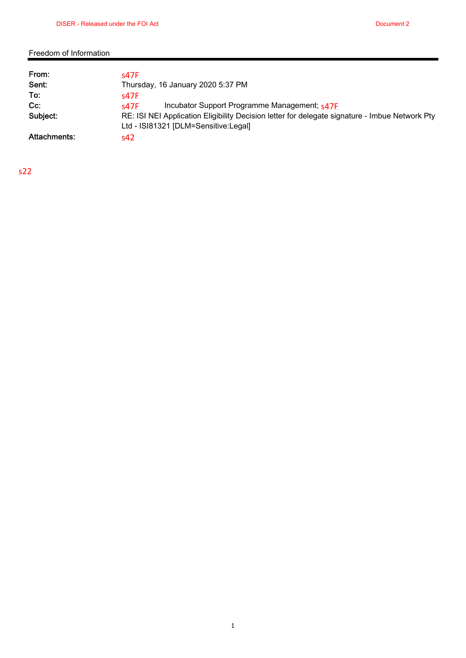## Freedom of Information

| From:        | S47F                                                                                           |  |
|--------------|------------------------------------------------------------------------------------------------|--|
| Sent:        | Thursday, 16 January 2020 5:37 PM                                                              |  |
| To:          | s47F                                                                                           |  |
| $Cc$ :       | Incubator Support Programme Management; s47F<br>S47F                                           |  |
| Subject:     | RE: ISI NEI Application Eligibility Decision letter for delegate signature - Imbue Network Pty |  |
|              | Ltd - ISI81321 [DLM=Sensitive:Legal]                                                           |  |
| Attachments: | s42                                                                                            |  |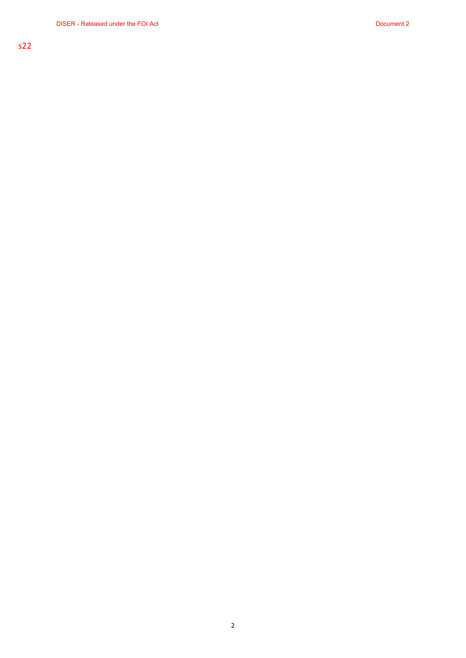## 2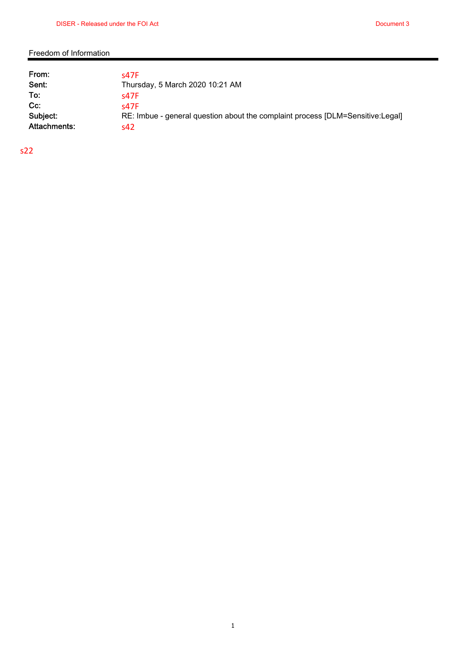## Freedom of Information

| From:<br>Sent: | <b>S47F</b><br>Thursday, 5 March 2020 10:21 AM                                 |
|----------------|--------------------------------------------------------------------------------|
| To:            | s47F                                                                           |
| $Cc$ :         | s47F                                                                           |
| Subject:       | RE: Imbue - general question about the complaint process [DLM=Sensitive:Legal] |
| Attachments:   | s42                                                                            |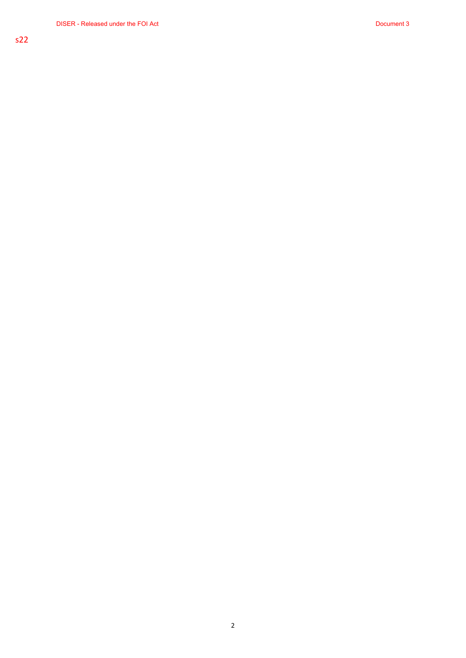2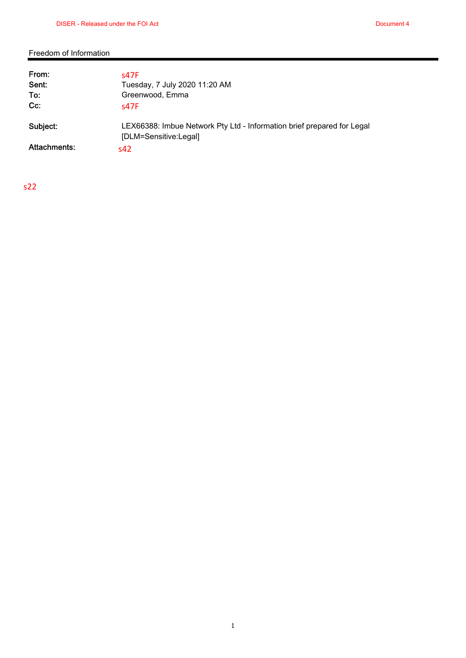## Freedom of Information

| From:<br>Sent:<br>To:<br>$Cc$ : | s47F<br>Tuesday, 7 July 2020 11:20 AM<br>Greenwood, Emma<br>s47F                                |
|---------------------------------|-------------------------------------------------------------------------------------------------|
| Subject:                        | LEX66388: Imbue Network Pty Ltd - Information brief prepared for Legal<br>[DLM=Sensitive:Legal] |
| Attachments:                    | s42                                                                                             |